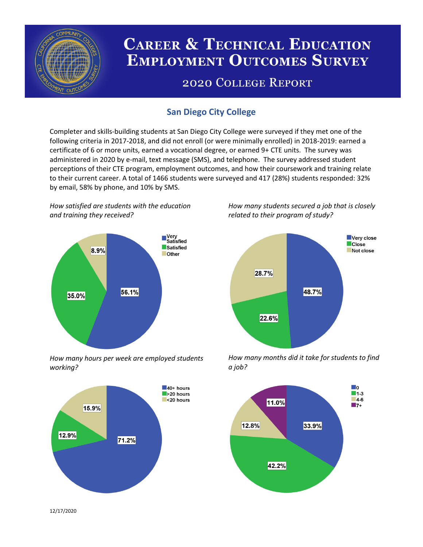

# **CAREER & TECHNICAL EDUCATION EMPLOYMENT OUTCOMES SURVEY**

## **2020 COLLEGE REPORT**

### **San Diego City College**

Completer and skills-building students at San Diego City College were surveyed if they met one of the following criteria in 2017-2018, and did not enroll (or were minimally enrolled) in 2018-2019: earned a certificate of 6 or more units, earned a vocational degree, or earned 9+ CTE units. The survey was administered in 2020 by e-mail, text message (SMS), and telephone. The survey addressed student perceptions of their CTE program, employment outcomes, and how their coursework and training relate to their current career. A total of 1466 students were surveyed and 417 (28%) students responded: 32% by email, 58% by phone, and 10% by SMS.

*How satisfied are students with the education and training they received?*



*How many hours per week are employed students working?*



*How many students secured a job that is closely related to their program of study?*



*How many months did it take for students to find a job?*



12/17/2020